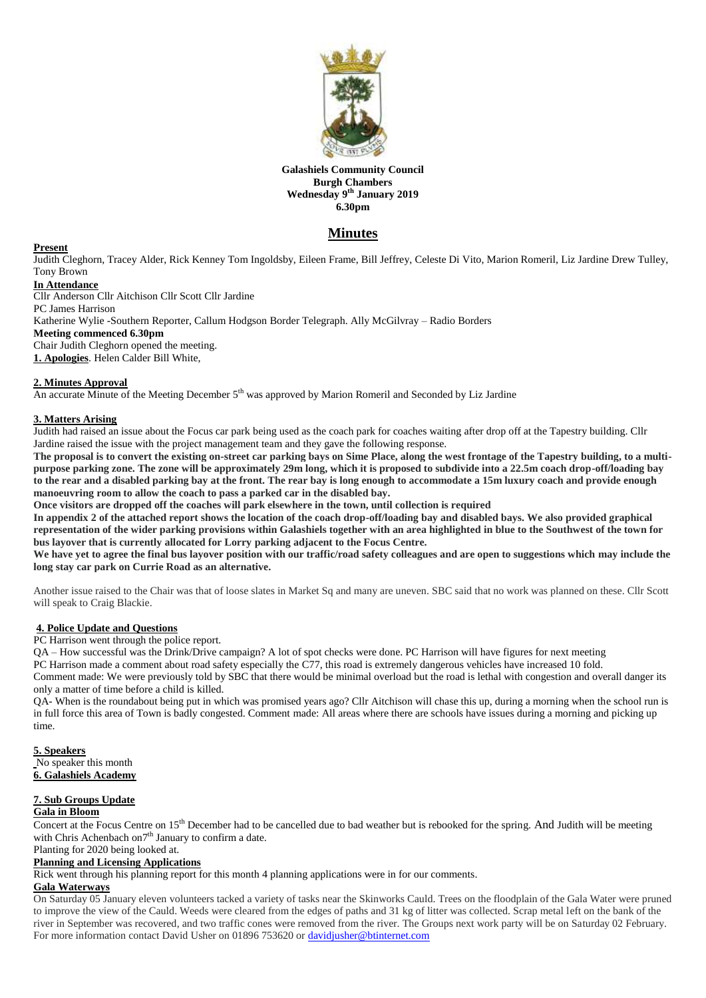

#### **Galashiels Community Council Burgh Chambers Wednesday 9 th January 2019 6.30pm**

# **Minutes**

#### **Present**

Judith Cleghorn, Tracey Alder, Rick Kenney Tom Ingoldsby, Eileen Frame, Bill Jeffrey, Celeste Di Vito, Marion Romeril, Liz Jardine Drew Tulley, Tony Brown

# **In Attendance**

Cllr Anderson Cllr Aitchison Cllr Scott Cllr Jardine PC James Harrison Katherine Wylie -Southern Reporter, Callum Hodgson Border Telegraph. Ally McGilvray – Radio Borders **Meeting commenced 6.30pm** Chair Judith Cleghorn opened the meeting. **1. Apologies**. Helen Calder Bill White,

### **2. Minutes Approval**

An accurate Minute of the Meeting December 5<sup>th</sup> was approved by Marion Romeril and Seconded by Liz Jardine

#### **3. Matters Arising**

Judith had raised an issue about the Focus car park being used as the coach park for coaches waiting after drop off at the Tapestry building. Cllr Jardine raised the issue with the project management team and they gave the following response.

**The proposal is to convert the existing on-street car parking bays on Sime Place, along the west frontage of the Tapestry building, to a multipurpose parking zone. The zone will be approximately 29m long, which it is proposed to subdivide into a 22.5m coach drop-off/loading bay to the rear and a disabled parking bay at the front. The rear bay is long enough to accommodate a 15m luxury coach and provide enough manoeuvring room to allow the coach to pass a parked car in the disabled bay.**

**Once visitors are dropped off the coaches will park elsewhere in the town, until collection is required**

**In appendix 2 of the attached report shows the location of the coach drop-off/loading bay and disabled bays. We also provided graphical representation of the wider parking provisions within Galashiels together with an area highlighted in blue to the Southwest of the town for bus layover that is currently allocated for Lorry parking adjacent to the Focus Centre.**

**We have yet to agree the final bus layover position with our traffic/road safety colleagues and are open to suggestions which may include the long stay car park on Currie Road as an alternative.**

Another issue raised to the Chair was that of loose slates in Market Sq and many are uneven. SBC said that no work was planned on these. Cllr Scott will speak to Craig Blackie.

#### **4. Police Update and Questions**

PC Harrison went through the police report.

QA – How successful was the Drink/Drive campaign? A lot of spot checks were done. PC Harrison will have figures for next meeting PC Harrison made a comment about road safety especially the C77, this road is extremely dangerous vehicles have increased 10 fold. Comment made: We were previously told by SBC that there would be minimal overload but the road is lethal with congestion and overall danger its only a matter of time before a child is killed.

QA- When is the roundabout being put in which was promised years ago? Cllr Aitchison will chase this up, during a morning when the school run is in full force this area of Town is badly congested. Comment made: All areas where there are schools have issues during a morning and picking up time.

**5. Speakers** No speaker this month **6. Galashiels Academy**

#### **7. Sub Groups Update**

### **Gala in Bloom**

Concert at the Focus Centre on 15th December had to be cancelled due to bad weather but is rebooked for the spring. And Judith will be meeting with Chris Achenbach on<sup>7th</sup> January to confirm a date.

# Planting for 2020 being looked at.

# **Planning and Licensing Applications**

Rick went through his planning report for this month 4 planning applications were in for our comments.

#### **Gala Waterways**

On Saturday 05 January eleven volunteers tacked a variety of tasks near the Skinworks Cauld. Trees on the floodplain of the Gala Water were pruned to improve the view of the Cauld. Weeds were cleared from the edges of paths and 31 kg of litter was collected. Scrap metal left on the bank of the river in September was recovered, and two traffic cones were removed from the river. The Groups next work party will be on Saturday 02 February. For more information contact David Usher on 01896 753620 or [davidjusher@btinternet.com](mailto:davidjusher@btinternet.com)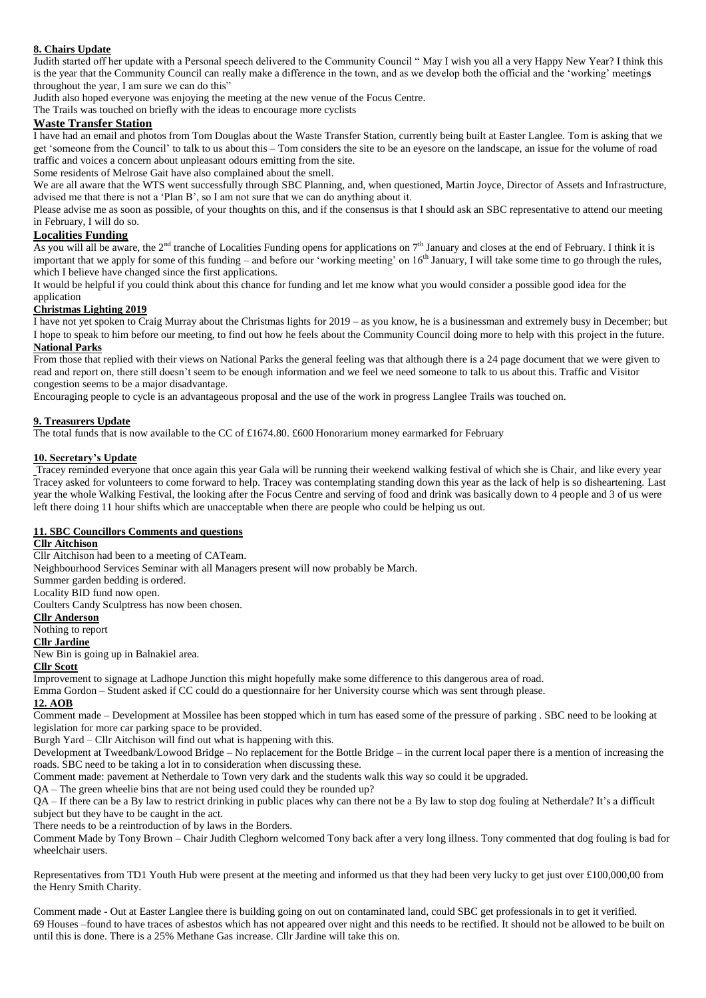## **8. Chairs Update**

Judith started off her update with a Personal speech delivered to the Community Council " May I wish you all a very Happy New Year? I think this is the year that the Community Council can really make a difference in the town, and as we develop both the official and the 'working' meeting**s** throughout the year, I am sure we can do this"

Judith also hoped everyone was enjoying the meeting at the new venue of the Focus Centre.

The Trails was touched on briefly with the ideas to encourage more cyclists

## **Waste Transfer Station**

I have had an email and photos from Tom Douglas about the Waste Transfer Station, currently being built at Easter Langlee. Tom is asking that we get 'someone from the Council' to talk to us about this – Tom considers the site to be an eyesore on the landscape, an issue for the volume of road traffic and voices a concern about unpleasant odours emitting from the site.

Some residents of Melrose Gait have also complained about the smell.

We are all aware that the WTS went successfully through SBC Planning, and, when questioned, Martin Joyce, Director of Assets and Infrastructure, advised me that there is not a 'Plan B', so I am not sure that we can do anything about it.

Please advise me as soon as possible, of your thoughts on this, and if the consensus is that I should ask an SBC representative to attend our meeting in February, I will do so.

## **Localities Funding**

As you will all be aware, the  $2^{nd}$  tranche of Localities Funding opens for applications on  $7<sup>th</sup>$  January and closes at the end of February. I think it is important that we apply for some of this funding – and before our 'working meeting' on  $16<sup>th</sup>$  January, I will take some time to go through the rules, which I believe have changed since the first applications.

It would be helpful if you could think about this chance for funding and let me know what you would consider a possible good idea for the

# application

**Christmas Lighting 2019** I have not yet spoken to Craig Murray about the Christmas lights for 2019 – as you know, he is a businessman and extremely busy in December; but

I hope to speak to him before our meeting, to find out how he feels about the Community Council doing more to help with this project in the future. **National Parks**

From those that replied with their views on National Parks the general feeling was that although there is a 24 page document that we were given to read and report on, there still doesn't seem to be enough information and we feel we need someone to talk to us about this. Traffic and Visitor congestion seems to be a major disadvantage.

Encouraging people to cycle is an advantageous proposal and the use of the work in progress Langlee Trails was touched on.

#### **9. Treasurers Update**

The total funds that is now available to the CC of £1674.80. £600 Honorarium money earmarked for February

#### **10. Secretary's Update**

Tracey reminded everyone that once again this year Gala will be running their weekend walking festival of which she is Chair, and like every year Tracey asked for volunteers to come forward to help. Tracey was contemplating standing down this year as the lack of help is so disheartening. Last year the whole Walking Festival, the looking after the Focus Centre and serving of food and drink was basically down to 4 people and 3 of us were left there doing 11 hour shifts which are unacceptable when there are people who could be helping us out.

#### **11. SBC Councillors Comments and questions**

## **Cllr Aitchison**

Cllr Aitchison had been to a meeting of CATeam.

Neighbourhood Services Seminar with all Managers present will now probably be March.

Summer garden bedding is ordered.

Locality BID fund now open.

Coulters Candy Sculptress has now been chosen.

## **Cllr Anderson**

Nothing to report

## **Cllr Jardine**

New Bin is going up in Balnakiel area.

## **Cllr Scott**

Improvement to signage at Ladhope Junction this might hopefully make some difference to this dangerous area of road.

Emma Gordon – Student asked if CC could do a questionnaire for her University course which was sent through please.

## **12. AOB**

Comment made – Development at Mossilee has been stopped which in turn has eased some of the pressure of parking . SBC need to be looking at legislation for more car parking space to be provided.

Burgh Yard – Cllr Aitchison will find out what is happening with this.

Development at Tweedbank/Lowood Bridge – No replacement for the Bottle Bridge – in the current local paper there is a mention of increasing the roads. SBC need to be taking a lot in to consideration when discussing these.

Comment made: pavement at Netherdale to Town very dark and the students walk this way so could it be upgraded.

QA – The green wheelie bins that are not being used could they be rounded up?

QA – If there can be a By law to restrict drinking in public places why can there not be a By law to stop dog fouling at Netherdale? It's a difficult subject but they have to be caught in the act.

There needs to be a reintroduction of by laws in the Borders.

Comment Made by Tony Brown – Chair Judith Cleghorn welcomed Tony back after a very long illness. Tony commented that dog fouling is bad for wheelchair users.

Representatives from TD1 Youth Hub were present at the meeting and informed us that they had been very lucky to get just over £100,000,00 from the Henry Smith Charity.

Comment made - Out at Easter Langlee there is building going on out on contaminated land, could SBC get professionals in to get it verified. 69 Houses –found to have traces of asbestos which has not appeared over night and this needs to be rectified. It should not be allowed to be built on until this is done. There is a 25% Methane Gas increase. Cllr Jardine will take this on.